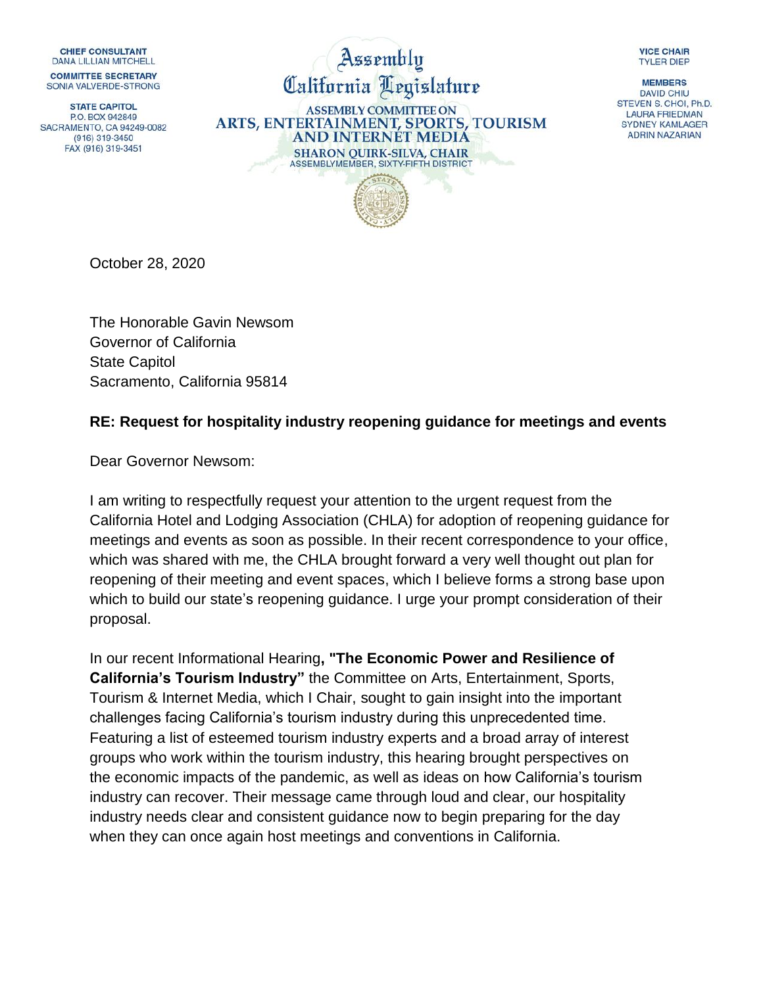**CHIEF CONSULTANT** DANA I II I IAN MITCHELL **COMMITTEE SECRETARY** 

SONIA VALVERDE-STRONG

**STATE CAPITOL** PO BOX 942849 SACRAMENTO, CA 94249-0082 (916) 319-3450 FAX (916) 319-3451

Assembly California Legislature

**ASSEMBLY COMMITTEE ON** ARTS, ENTERTAINMENT, SPORTS, TOURISM **AND INTERNET MEDIA SHARON QUIRK-SILVA, CHAIR** ASSEMBLYMEMBER, SIXTY-FIFTH DISTRICT



October 28, 2020

The Honorable Gavin Newsom Governor of California State Capitol Sacramento, California 95814

## **RE: Request for hospitality industry reopening guidance for meetings and events**

Dear Governor Newsom:

I am writing to respectfully request your attention to the urgent request from the California Hotel and Lodging Association (CHLA) for adoption of reopening guidance for meetings and events as soon as possible. In their recent correspondence to your office, which was shared with me, the CHLA brought forward a very well thought out plan for reopening of their meeting and event spaces, which I believe forms a strong base upon which to build our state's reopening guidance. I urge your prompt consideration of their proposal.

In our recent Informational Hearing**, "The Economic Power and Resilience of California's Tourism Industry"** the Committee on Arts, Entertainment, Sports, Tourism & Internet Media, which I Chair, sought to gain insight into the important challenges facing California's tourism industry during this unprecedented time. Featuring a list of esteemed tourism industry experts and a broad array of interest groups who work within the tourism industry, this hearing brought perspectives on the economic impacts of the pandemic, as well as ideas on how California's tourism industry can recover. Their message came through loud and clear, our hospitality industry needs clear and consistent guidance now to begin preparing for the day when they can once again host meetings and conventions in California.

**VICE CHAIR TYLER DIEP** 

**MEMBERS DAVID CHIU** STEVEN S. CHOI, Ph.D. **LAURA FRIEDMAN SYDNEY KAMLAGER ADRIN NAZARIAN**